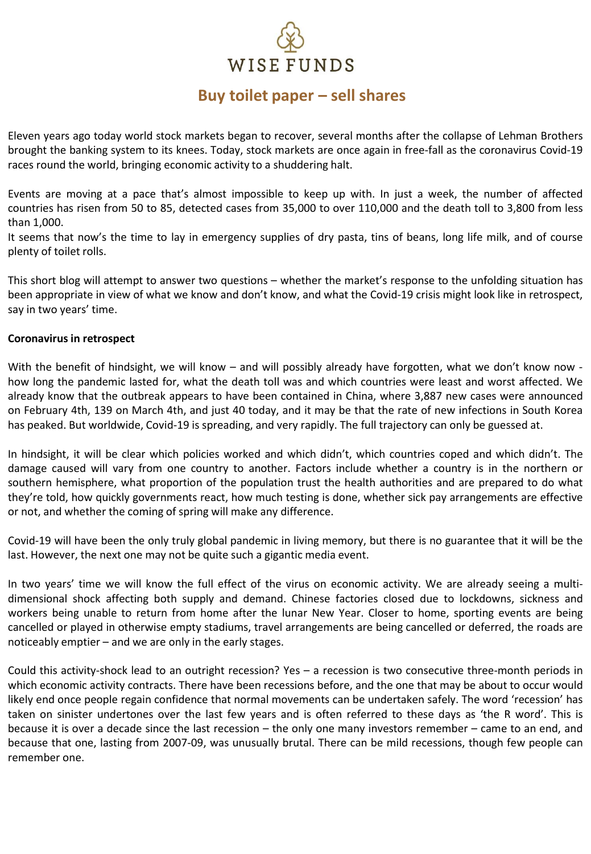# WISE FUNDS

## **Buy toilet paper – sell shares**

Eleven years ago today world stock markets began to recover, several months after the collapse of Lehman Brothers brought the banking system to its knees. Today, stock markets are once again in free-fall as the coronavirus Covid-19 races round the world, bringing economic activity to a shuddering halt.

Events are moving at a pace that's almost impossible to keep up with. In just a week, the number of affected countries has risen from 50 to 85, detected cases from 35,000 to over 110,000 and the death toll to 3,800 from less than 1,000.

It seems that now's the time to lay in emergency supplies of dry pasta, tins of beans, long life milk, and of course plenty of toilet rolls.

This short blog will attempt to answer two questions – whether the market's response to the unfolding situation has been appropriate in view of what we know and don't know, and what the Covid-19 crisis might look like in retrospect, say in two years' time.

#### **Coronavirus in retrospect**

With the benefit of hindsight, we will know – and will possibly already have forgotten, what we don't know now how long the pandemic lasted for, what the death toll was and which countries were least and worst affected. We already know that the outbreak appears to have been contained in China, where 3,887 new cases were announced on February 4th, 139 on March 4th, and just 40 today, and it may be that the rate of new infections in South Korea has peaked. But worldwide, Covid-19 is spreading, and very rapidly. The full trajectory can only be guessed at.

In hindsight, it will be clear which policies worked and which didn't, which countries coped and which didn't. The damage caused will vary from one country to another. Factors include whether a country is in the northern or southern hemisphere, what proportion of the population trust the health authorities and are prepared to do what they're told, how quickly governments react, how much testing is done, whether sick pay arrangements are effective or not, and whether the coming of spring will make any difference.

Covid-19 will have been the only truly global pandemic in living memory, but there is no guarantee that it will be the last. However, the next one may not be quite such a gigantic media event.

In two years' time we will know the full effect of the virus on economic activity. We are already seeing a multidimensional shock affecting both supply and demand. Chinese factories closed due to lockdowns, sickness and workers being unable to return from home after the lunar New Year. Closer to home, sporting events are being cancelled or played in otherwise empty stadiums, travel arrangements are being cancelled or deferred, the roads are noticeably emptier – and we are only in the early stages.

Could this activity-shock lead to an outright recession? Yes – a recession is two consecutive three-month periods in which economic activity contracts. There have been recessions before, and the one that may be about to occur would likely end once people regain confidence that normal movements can be undertaken safely. The word 'recession' has taken on sinister undertones over the last few years and is often referred to these days as 'the R word'. This is because it is over a decade since the last recession – the only one many investors remember – came to an end, and because that one, lasting from 2007-09, was unusually brutal. There can be mild recessions, though few people can remember one.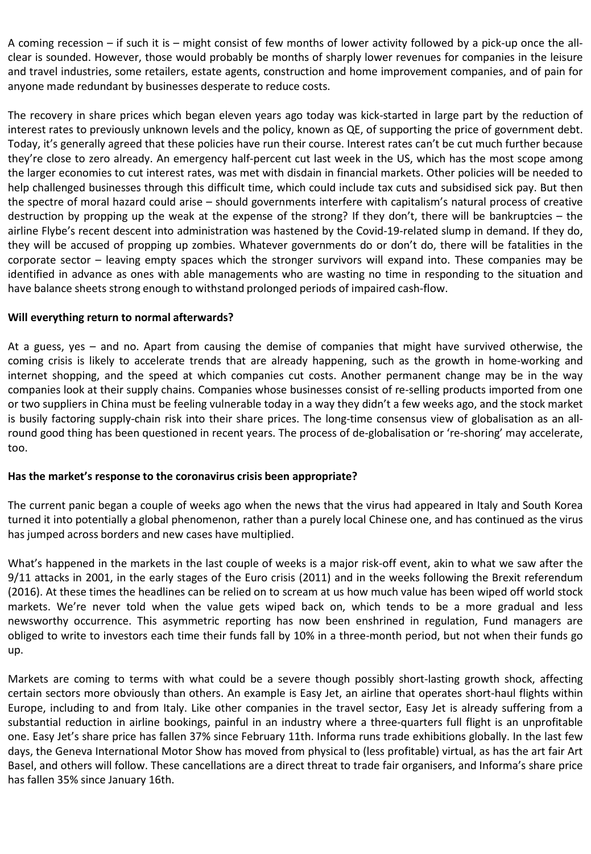A coming recession – if such it is – might consist of few months of lower activity followed by a pick-up once the allclear is sounded. However, those would probably be months of sharply lower revenues for companies in the leisure and travel industries, some retailers, estate agents, construction and home improvement companies, and of pain for anyone made redundant by businesses desperate to reduce costs.

The recovery in share prices which began eleven years ago today was kick-started in large part by the reduction of interest rates to previously unknown levels and the policy, known as QE, of supporting the price of government debt. Today, it's generally agreed that these policies have run their course. Interest rates can't be cut much further because they're close to zero already. An emergency half-percent cut last week in the US, which has the most scope among the larger economies to cut interest rates, was met with disdain in financial markets. Other policies will be needed to help challenged businesses through this difficult time, which could include tax cuts and subsidised sick pay. But then the spectre of moral hazard could arise – should governments interfere with capitalism's natural process of creative destruction by propping up the weak at the expense of the strong? If they don't, there will be bankruptcies – the airline Flybe's recent descent into administration was hastened by the Covid-19-related slump in demand. If they do, they will be accused of propping up zombies. Whatever governments do or don't do, there will be fatalities in the corporate sector – leaving empty spaces which the stronger survivors will expand into. These companies may be identified in advance as ones with able managements who are wasting no time in responding to the situation and have balance sheets strong enough to withstand prolonged periods of impaired cash-flow.

#### **Will everything return to normal afterwards?**

At a guess, yes – and no. Apart from causing the demise of companies that might have survived otherwise, the coming crisis is likely to accelerate trends that are already happening, such as the growth in home-working and internet shopping, and the speed at which companies cut costs. Another permanent change may be in the way companies look at their supply chains. Companies whose businesses consist of re-selling products imported from one or two suppliers in China must be feeling vulnerable today in a way they didn't a few weeks ago, and the stock market is busily factoring supply-chain risk into their share prices. The long-time consensus view of globalisation as an allround good thing has been questioned in recent years. The process of de-globalisation or 're-shoring' may accelerate, too.

#### **Has the market's response to the coronavirus crisis been appropriate?**

The current panic began a couple of weeks ago when the news that the virus had appeared in Italy and South Korea turned it into potentially a global phenomenon, rather than a purely local Chinese one, and has continued as the virus has jumped across borders and new cases have multiplied.

What's happened in the markets in the last couple of weeks is a major risk-off event, akin to what we saw after the 9/11 attacks in 2001, in the early stages of the Euro crisis (2011) and in the weeks following the Brexit referendum (2016). At these times the headlines can be relied on to scream at us how much value has been wiped off world stock markets. We're never told when the value gets wiped back on, which tends to be a more gradual and less newsworthy occurrence. This asymmetric reporting has now been enshrined in regulation, Fund managers are obliged to write to investors each time their funds fall by 10% in a three-month period, but not when their funds go up.

Markets are coming to terms with what could be a severe though possibly short-lasting growth shock, affecting certain sectors more obviously than others. An example is Easy Jet, an airline that operates short-haul flights within Europe, including to and from Italy. Like other companies in the travel sector, Easy Jet is already suffering from a substantial reduction in airline bookings, painful in an industry where a three-quarters full flight is an unprofitable one. Easy Jet's share price has fallen 37% since February 11th. Informa runs trade exhibitions globally. In the last few days, the Geneva International Motor Show has moved from physical to (less profitable) virtual, as has the art fair Art Basel, and others will follow. These cancellations are a direct threat to trade fair organisers, and Informa's share price has fallen 35% since January 16th.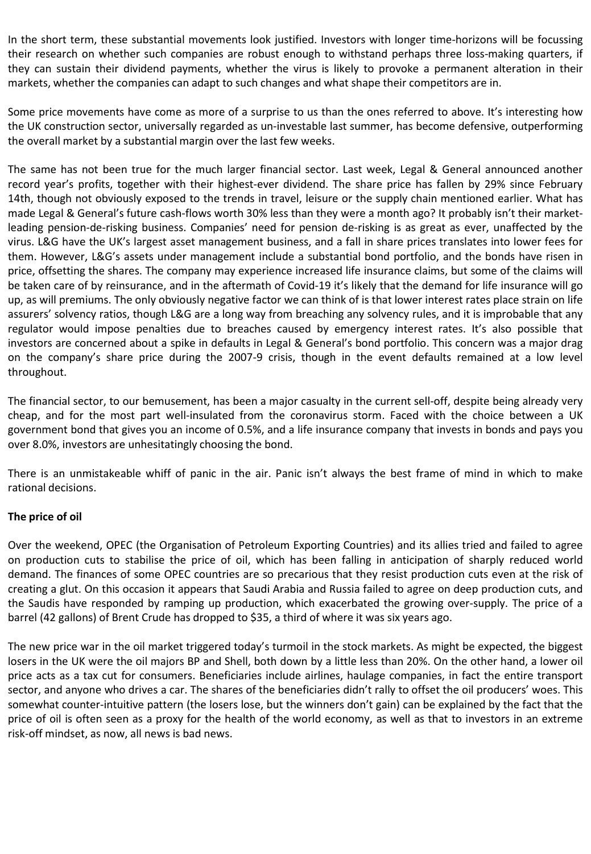In the short term, these substantial movements look justified. Investors with longer time-horizons will be focussing their research on whether such companies are robust enough to withstand perhaps three loss-making quarters, if they can sustain their dividend payments, whether the virus is likely to provoke a permanent alteration in their markets, whether the companies can adapt to such changes and what shape their competitors are in.

Some price movements have come as more of a surprise to us than the ones referred to above. It's interesting how the UK construction sector, universally regarded as un-investable last summer, has become defensive, outperforming the overall market by a substantial margin over the last few weeks.

The same has not been true for the much larger financial sector. Last week, Legal & General announced another record year's profits, together with their highest-ever dividend. The share price has fallen by 29% since February 14th, though not obviously exposed to the trends in travel, leisure or the supply chain mentioned earlier. What has made Legal & General's future cash-flows worth 30% less than they were a month ago? It probably isn't their marketleading pension-de-risking business. Companies' need for pension de-risking is as great as ever, unaffected by the virus. L&G have the UK's largest asset management business, and a fall in share prices translates into lower fees for them. However, L&G's assets under management include a substantial bond portfolio, and the bonds have risen in price, offsetting the shares. The company may experience increased life insurance claims, but some of the claims will be taken care of by reinsurance, and in the aftermath of Covid-19 it's likely that the demand for life insurance will go up, as will premiums. The only obviously negative factor we can think of is that lower interest rates place strain on life assurers' solvency ratios, though L&G are a long way from breaching any solvency rules, and it is improbable that any regulator would impose penalties due to breaches caused by emergency interest rates. It's also possible that investors are concerned about a spike in defaults in Legal & General's bond portfolio. This concern was a major drag on the company's share price during the 2007-9 crisis, though in the event defaults remained at a low level throughout.

The financial sector, to our bemusement, has been a major casualty in the current sell-off, despite being already very cheap, and for the most part well-insulated from the coronavirus storm. Faced with the choice between a UK government bond that gives you an income of 0.5%, and a life insurance company that invests in bonds and pays you over 8.0%, investors are unhesitatingly choosing the bond.

There is an unmistakeable whiff of panic in the air. Panic isn't always the best frame of mind in which to make rational decisions.

#### **The price of oil**

Over the weekend, OPEC (the Organisation of Petroleum Exporting Countries) and its allies tried and failed to agree on production cuts to stabilise the price of oil, which has been falling in anticipation of sharply reduced world demand. The finances of some OPEC countries are so precarious that they resist production cuts even at the risk of creating a glut. On this occasion it appears that Saudi Arabia and Russia failed to agree on deep production cuts, and the Saudis have responded by ramping up production, which exacerbated the growing over-supply. The price of a barrel (42 gallons) of Brent Crude has dropped to \$35, a third of where it was six years ago.

The new price war in the oil market triggered today's turmoil in the stock markets. As might be expected, the biggest losers in the UK were the oil majors BP and Shell, both down by a little less than 20%. On the other hand, a lower oil price acts as a tax cut for consumers. Beneficiaries include airlines, haulage companies, in fact the entire transport sector, and anyone who drives a car. The shares of the beneficiaries didn't rally to offset the oil producers' woes. This somewhat counter-intuitive pattern (the losers lose, but the winners don't gain) can be explained by the fact that the price of oil is often seen as a proxy for the health of the world economy, as well as that to investors in an extreme risk-off mindset, as now, all news is bad news.